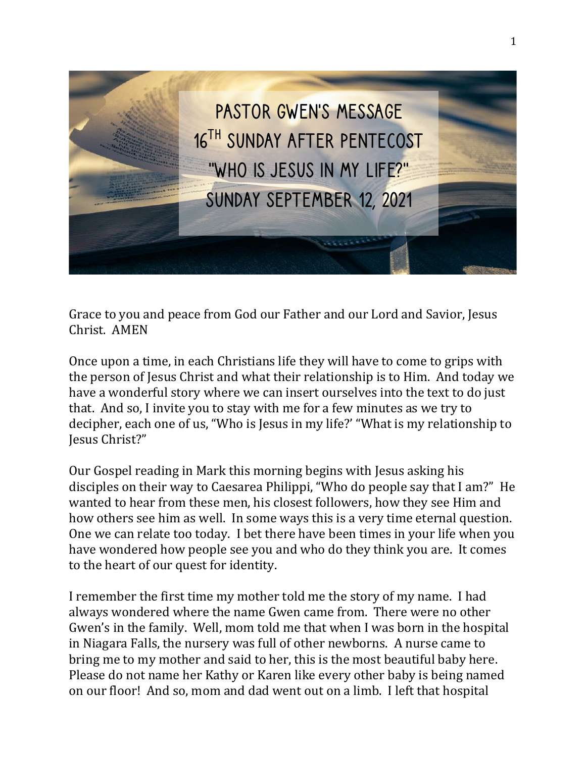

Grace to you and peace from God our Father and our Lord and Savior, Jesus Christ. AMEN

Once upon a time, in each Christians life they will have to come to grips with the person of Jesus Christ and what their relationship is to Him. And today we have a wonderful story where we can insert ourselves into the text to do just that. And so, I invite you to stay with me for a few minutes as we try to decipher, each one of us, "Who is Jesus in my life?' "What is my relationship to Jesus Christ?"

Our Gospel reading in Mark this morning begins with Jesus asking his disciples on their way to Caesarea Philippi, "Who do people say that I am?" He wanted to hear from these men, his closest followers, how they see Him and how others see him as well. In some ways this is a very time eternal question. One we can relate too today. I bet there have been times in your life when you have wondered how people see you and who do they think you are. It comes to the heart of our quest for identity.

I remember the first time my mother told me the story of my name. I had always wondered where the name Gwen came from. There were no other Gwen's in the family. Well, mom told me that when I was born in the hospital in Niagara Falls, the nursery was full of other newborns. A nurse came to bring me to my mother and said to her, this is the most beautiful baby here. Please do not name her Kathy or Karen like every other baby is being named on our floor! And so, mom and dad went out on a limb. I left that hospital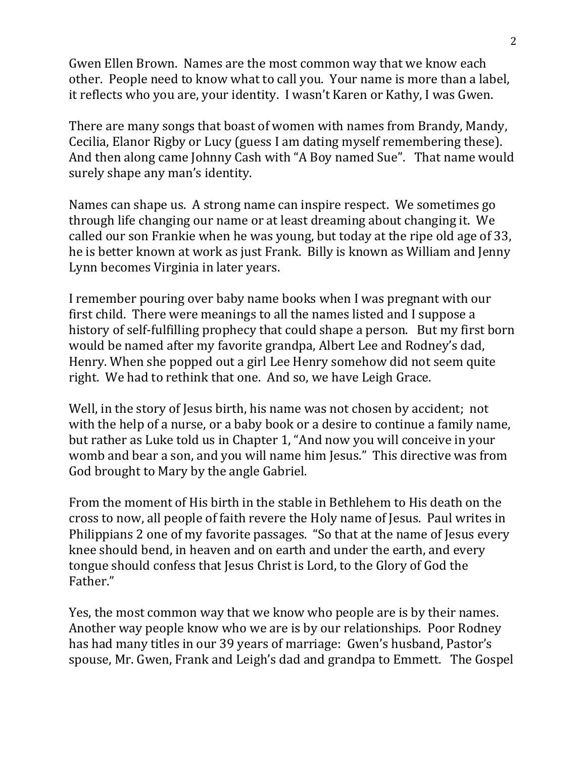Gwen Ellen Brown. Names are the most common way that we know each other. People need to know what to call you. Your name is more than a label, it reflects who you are, your identity. I wasn't Karen or Kathy, I was Gwen.

There are many songs that boast of women with names from Brandy, Mandy, Cecilia, Elanor Rigby or Lucy (guess I am dating myself remembering these). And then along came Johnny Cash with "A Boy named Sue". That name would surely shape any man's identity.

Names can shape us. A strong name can inspire respect. We sometimes go through life changing our name or at least dreaming about changing it. We called our son Frankie when he was young, but today at the ripe old age of 33, he is better known at work as just Frank. Billy is known as William and Jenny Lynn becomes Virginia in later years.

I remember pouring over baby name books when I was pregnant with our first child. There were meanings to all the names listed and I suppose a history of self-fulfilling prophecy that could shape a person. But my first born would be named after my favorite grandpa, Albert Lee and Rodney's dad, Henry. When she popped out a girl Lee Henry somehow did not seem quite right. We had to rethink that one. And so, we have Leigh Grace.

Well, in the story of Jesus birth, his name was not chosen by accident; not with the help of a nurse, or a baby book or a desire to continue a family name, but rather as Luke told us in Chapter 1, "And now you will conceive in your womb and bear a son, and you will name him Jesus." This directive was from God brought to Mary by the angle Gabriel.

From the moment of His birth in the stable in Bethlehem to His death on the cross to now, all people of faith revere the Holy name of Jesus. Paul writes in Philippians 2 one of my favorite passages. "So that at the name of Jesus every knee should bend, in heaven and on earth and under the earth, and every tongue should confess that Jesus Christ is Lord, to the Glory of God the Father."

Yes, the most common way that we know who people are is by their names. Another way people know who we are is by our relationships. Poor Rodney has had many titles in our 39 years of marriage: Gwen's husband, Pastor's spouse, Mr. Gwen, Frank and Leigh's dad and grandpa to Emmett. The Gospel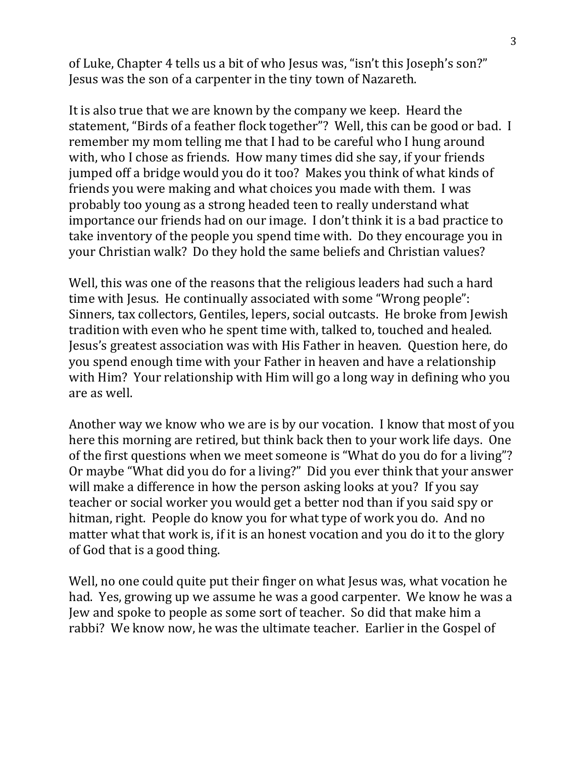of Luke, Chapter 4 tells us a bit of who Jesus was, "isn't this Joseph's son?" Jesus was the son of a carpenter in the tiny town of Nazareth.

It is also true that we are known by the company we keep. Heard the statement, "Birds of a feather flock together"? Well, this can be good or bad. I remember my mom telling me that I had to be careful who I hung around with, who I chose as friends. How many times did she say, if your friends jumped off a bridge would you do it too? Makes you think of what kinds of friends you were making and what choices you made with them. I was probably too young as a strong headed teen to really understand what importance our friends had on our image. I don't think it is a bad practice to take inventory of the people you spend time with. Do they encourage you in your Christian walk? Do they hold the same beliefs and Christian values?

Well, this was one of the reasons that the religious leaders had such a hard time with Jesus. He continually associated with some "Wrong people": Sinners, tax collectors, Gentiles, lepers, social outcasts. He broke from Jewish tradition with even who he spent time with, talked to, touched and healed. Jesus's greatest association was with His Father in heaven. Question here, do you spend enough time with your Father in heaven and have a relationship with Him? Your relationship with Him will go a long way in defining who you are as well.

Another way we know who we are is by our vocation. I know that most of you here this morning are retired, but think back then to your work life days. One of the first questions when we meet someone is "What do you do for a living"? Or maybe "What did you do for a living?" Did you ever think that your answer will make a difference in how the person asking looks at you? If you say teacher or social worker you would get a better nod than if you said spy or hitman, right. People do know you for what type of work you do. And no matter what that work is, if it is an honest vocation and you do it to the glory of God that is a good thing.

Well, no one could quite put their finger on what Jesus was, what vocation he had. Yes, growing up we assume he was a good carpenter. We know he was a Jew and spoke to people as some sort of teacher. So did that make him a rabbi? We know now, he was the ultimate teacher. Earlier in the Gospel of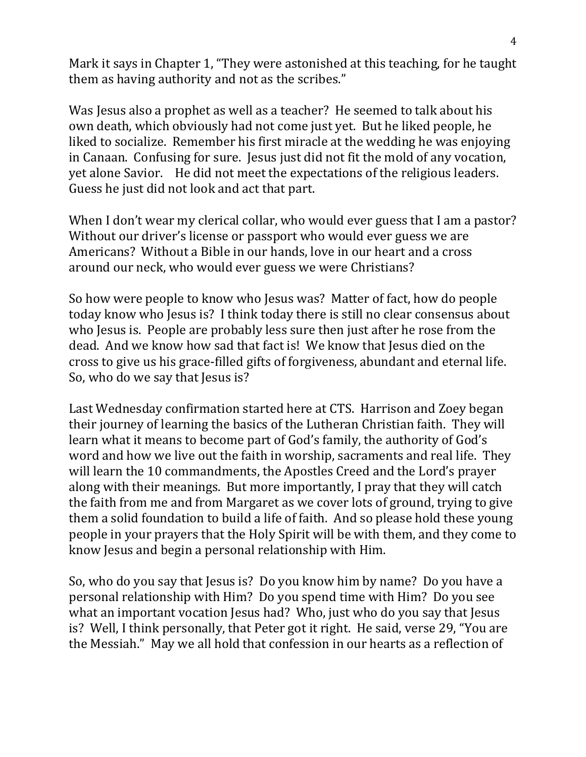Mark it says in Chapter 1, "They were astonished at this teaching, for he taught them as having authority and not as the scribes."

Was Jesus also a prophet as well as a teacher? He seemed to talk about his own death, which obviously had not come just yet. But he liked people, he liked to socialize. Remember his first miracle at the wedding he was enjoying in Canaan. Confusing for sure. Jesus just did not fit the mold of any vocation, yet alone Savior. He did not meet the expectations of the religious leaders. Guess he just did not look and act that part.

When I don't wear my clerical collar, who would ever guess that I am a pastor? Without our driver's license or passport who would ever guess we are Americans? Without a Bible in our hands, love in our heart and a cross around our neck, who would ever guess we were Christians?

So how were people to know who Jesus was? Matter of fact, how do people today know who Jesus is? I think today there is still no clear consensus about who Jesus is. People are probably less sure then just after he rose from the dead. And we know how sad that fact is! We know that Jesus died on the cross to give us his grace-filled gifts of forgiveness, abundant and eternal life. So, who do we say that Jesus is?

Last Wednesday confirmation started here at CTS. Harrison and Zoey began their journey of learning the basics of the Lutheran Christian faith. They will learn what it means to become part of God's family, the authority of God's word and how we live out the faith in worship, sacraments and real life. They will learn the 10 commandments, the Apostles Creed and the Lord's prayer along with their meanings. But more importantly, I pray that they will catch the faith from me and from Margaret as we cover lots of ground, trying to give them a solid foundation to build a life of faith. And so please hold these young people in your prayers that the Holy Spirit will be with them, and they come to know Jesus and begin a personal relationship with Him.

So, who do you say that Jesus is? Do you know him by name? Do you have a personal relationship with Him? Do you spend time with Him? Do you see what an important vocation Jesus had? Who, just who do you say that Jesus is? Well, I think personally, that Peter got it right. He said, verse 29, "You are the Messiah." May we all hold that confession in our hearts as a reflection of